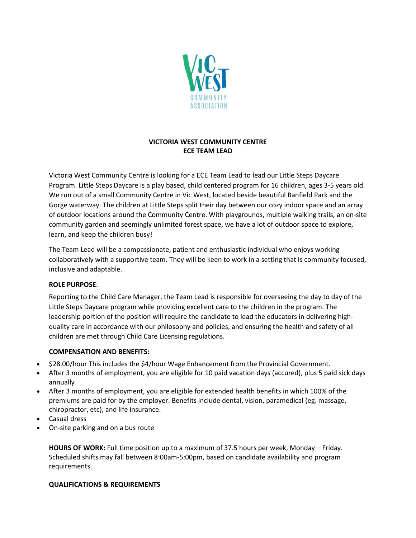

# **VICTORIA WEST COMMUNITY CENTRE ECE TEAM LEAD**

Victoria West Community Centre is looking for a ECE Team Lead to lead our Little Steps Daycare Program. Little Steps Daycare is a play based, child centered program for 16 children, ages 3-5 years old. We run out of a small Community Centre in Vic West, located beside beautiful Banfield Park and the Gorge waterway. The children at Little Steps split their day between our cozy indoor space and an array of outdoor locations around the Community Centre. With playgrounds, multiple walking trails, an on-site community garden and seemingly unlimited forest space, we have a lot of outdoor space to explore, learn, and keep the children busy!

The Team Lead will be a compassionate, patient and enthusiastic individual who enjoys working collaboratively with a supportive team. They will be keen to work in a setting that is community focused, inclusive and adaptable.

#### **ROLE PURPOSE**:

Reporting to the Child Care Manager, the Team Lead is responsible for overseeing the day to day of the Little Steps Daycare program while providing excellent care to the children in the program. The leadership portion of the position will require the candidate to lead the educators in delivering highquality care in accordance with our philosophy and policies, and ensuring the health and safety of all children are met through Child Care Licensing regulations.

#### **COMPENSATION AND BENEFITS:**

- \$28.00/hour This includes the \$4/hour Wage Enhancement from the Provincial Government.
- After 3 months of employment, you are eligible for 10 paid vacation days (accured), plus 5 paid sick days annually
- After 3 months of employment, you are eligible for extended health benefits in which 100% of the premiums are paid for by the employer. Benefits include dental, vision, paramedical (eg. massage, chiropractor, etc), and life insurance.
- Casual dress
- On-site parking and on a bus route

**HOURS OF WORK:** Full time position up to a maximum of 37.5 hours per week, Monday – Friday. Scheduled shifts may fall between 8:00am-5:00pm, based on candidate availability and program requirements.

## **QUALIFICATIONS & REQUIREMENTS**